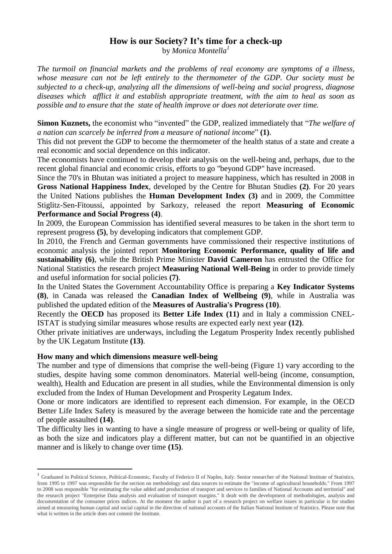## **How is our Society? It's time for a check-up** by *Monica Montella<sup>1</sup>*

*The turmoil on financial markets and the problems of real economy are symptoms of a illness, whose measure can not be left entirely to the thermometer of the GDP. Our society must be subjected to a check-up, analyzing all the dimensions of well-being and social progress, diagnose diseases which afflict it and establish appropriate treatment, with the aim to heal as soon as possible and to ensure that the state of health improve or does not deteriorate over time.*

**Simon Kuznets,** the economist who "invented" the GDP, realized immediately that "*The welfare of a nation can scarcely be inferred from a measure of national income*" **(1)**.

This did not prevent the GDP to become the thermometer of the health status of a state and create a real economic and social dependence on this indicator.

The economists have continued to develop their analysis on the well-being and, perhaps, due to the recent global financial and economic crisis, efforts to go "beyond GDP" have increased.

Since the 70's in Bhutan was initiated a project to measure happiness, which has resulted in 2008 in **Gross National Happiness Index**, developed by the Centre for Bhutan Studies **(2)**. For 20 years the United Nations publishes the **Human Development Index (3)** and in 2009, the Committee Stiglitz-Sen-Fitoussi, appointed by Sarkozy, released the report **Measuring of Economic Performance and Social Progress (4)**.

In 2009, the European Commission has identified several measures to be taken in the short term to represent progress **(5)**, by developing indicators that complement GDP.

In 2010, the French and German governments have commissioned their respective institutions of economic analysis the jointed report **Monitoring Economic Performance, quality of life and sustainability (6)**, while the British Prime Minister **David Cameron** has entrusted the Office for National Statistics the research project **Measuring National Well-Being** in order to provide timely and useful information for social policies **(7)**.

In the United States the Government Accountability Office is preparing a **Key Indicator Systems (8)**, in Canada was released the **Canadian Index of Wellbeing (9)**, while in Australia was published the updated edition of the **Measures of Australia's Progress (10)**.

Recently the **OECD** has proposed its **Better Life Index (11)** and in Italy a commission CNEL-ISTAT is studying similar measures whose results are expected early next year **(12)**.

Other private initiatives are underways, including the Legatum Prosperity Index recently published by the UK Legatum Institute **(13)**.

## **How many and which dimensions measure well-being**

1

The number and type of dimensions that comprise the well-being (Figure 1) vary according to the studies, despite having some common denominators. Material well-being (income, consumption, wealth), Health and Education are present in all studies, while the Environmental dimension is only excluded from the Index of Human Development and Prosperity Legatum Index.

Oone or more indicators are identified to represent each dimension. For example, in the OECD Better Life Index Safety is measured by the average between the homicide rate and the percentage of people assaulted **(14)**.

The difficulty lies in wanting to have a single measure of progress or well-being or quality of life, as both the size and indicators play a different matter, but can not be quantified in an objective manner and is likely to change over time **(15)**.

<sup>&</sup>lt;sup>1</sup> Graduated in Political Science, Political-Economic, Faculty of Federico II of Naples, Italy. Senior researcher of the National Institute of Statistics, from 1995 to 1997 was responsible for the section on methodology and data sources to estimate the "income of agricultural households." From 1997 to 2008 was responsible "for estimating the value added and production of transport and services to families of National Accounts and territorial" and the research project "Enterprise Data analysis and evaluation of transport margins." It dealt with the development of methodologies, analysis and documentation of the consumer prices indices. At the moment the author is part of a research project on welfare issues in particular is for studies aimed at measuring human capital and social capital in the direction of national accounts of the Italian National Institute of Statistics. Please note that what is written in the article does not commit the Institute.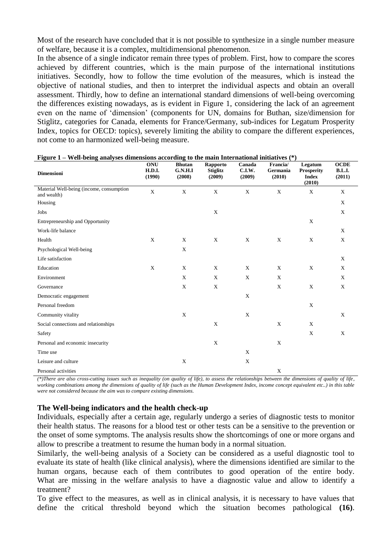Most of the research have concluded that it is not possible to synthesize in a single number measure of welfare, because it is a complex, multidimensional phenomenon.

In the absence of a single indicator remain three types of problem. First, how to compare the scores achieved by different countries, which is the main purpose of the international institutions initiatives. Secondly, how to follow the time evolution of the measures, which is instead the objective of national studies, and then to interpret the individual aspects and obtain an overall assessment. Thirdly, how to define an international standard dimensions of well-being overcoming the differences existing nowadays, as is evident in Figure 1, considering the lack of an agreement even on the name of 'dimension' (components for UN, domains for Buthan, size/dimension for Stiglitz, categories for Canada, elements for France/Germany, sub-indices for Legatum Prosperity Index, topics for OECD: topics), severely limiting the ability to compare the different experiences, not come to an harmonized well-being measure.

| Dimensioni                                              | <b>ONU</b><br><b>H.D.I.</b><br>(1990) | <b>Bhutan</b><br><b>G.N.H.I</b><br>(2008) | Rapporto<br><b>Stiglitz</b><br>(2009) | Canada<br>C.I.W.<br>(2009) | Francia/<br>Germania<br>(2010) | Legatum<br><b>Prosperity</b><br><b>Index</b><br>(2010) | <b>OCDE</b><br><b>B.L.I.</b><br>(2011) |
|---------------------------------------------------------|---------------------------------------|-------------------------------------------|---------------------------------------|----------------------------|--------------------------------|--------------------------------------------------------|----------------------------------------|
| Material Well-being (income, consumption<br>and wealth) | $\mathbf X$                           | $\mathbf X$                               | $\mathbf X$                           | $\mathbf X$                | $\mathbf X$                    | $\mathbf X$                                            | $\mathbf X$                            |
| Housing                                                 |                                       |                                           |                                       |                            |                                |                                                        | X                                      |
| Jobs                                                    |                                       |                                           | X                                     |                            |                                |                                                        | $\boldsymbol{\mathrm{X}}$              |
| Entrepreneurship and Opportunity                        |                                       |                                           |                                       |                            |                                | $\mathbf X$                                            |                                        |
| Work-life balance                                       |                                       |                                           |                                       |                            |                                |                                                        | $\mathbf X$                            |
| Health                                                  | X                                     | $\mathbf X$                               | $\mathbf X$                           | X                          | X                              | $\mathbf X$                                            | $\boldsymbol{\mathrm{X}}$              |
| Psychological Well-being                                |                                       | $\mathbf X$                               |                                       |                            |                                |                                                        |                                        |
| Life satisfaction                                       |                                       |                                           |                                       |                            |                                |                                                        | $\boldsymbol{\mathrm{X}}$              |
| Education                                               | X                                     | $\boldsymbol{\mathrm{X}}$                 | $\mathbf X$                           | X                          | $\mathbf X$                    | $\mathbf X$                                            | X                                      |
| Environment                                             |                                       | $\mathbf X$                               | $\mathbf X$                           | $\mathbf X$                | $\mathbf X$                    |                                                        | $\mathbf X$                            |
| Governance                                              |                                       | $\mathbf X$                               | $\mathbf X$                           |                            | $\mathbf X$                    | X                                                      | $\boldsymbol{\mathrm{X}}$              |
| Democratic engagement                                   |                                       |                                           |                                       | $\mathbf X$                |                                |                                                        |                                        |
| Personal freedom                                        |                                       |                                           |                                       |                            |                                | $\mathbf X$                                            |                                        |
| Community vitality                                      |                                       | $\mathbf X$                               |                                       | X                          |                                |                                                        | $\mathbf X$                            |
| Social connections and relationships                    |                                       |                                           | $\mathbf X$                           |                            | $\mathbf X$                    | X                                                      |                                        |
| Safety                                                  |                                       |                                           |                                       |                            |                                | $\mathbf X$                                            | $\mathbf X$                            |
| Personal and economic insecurity                        |                                       |                                           | $\mathbf X$                           |                            | $\mathbf X$                    |                                                        |                                        |
| Time use                                                |                                       |                                           |                                       | X                          |                                |                                                        |                                        |
| Leisure and culture                                     |                                       | $\mathbf X$                               |                                       | X                          |                                |                                                        |                                        |
| Personal activities                                     |                                       |                                           |                                       |                            | $\mathbf X$                    |                                                        |                                        |

| Figure 1 – Well-being analyses dimensions according to the main International initiatives (*) |  |  |  |  |
|-----------------------------------------------------------------------------------------------|--|--|--|--|
|                                                                                               |  |  |  |  |

*(\*)There are also cross-cutting issues such as inequality (on quality of life), to assess the relationships between the dimensions of quality of life, working combinations among the dimensions of quality of life (such as the Human Development Index, income concept equivalent etc..) in this table were not considered because the aim was to compare existing dimensions.*

## **The Well-being indicators and the health check-up**

Individuals, especially after a certain age, regularly undergo a series of diagnostic tests to monitor their health status. The reasons for a blood test or other tests can be a sensitive to the prevention or the onset of some symptoms. The analysis results show the shortcomings of one or more organs and allow to prescribe a treatment to resume the human body in a normal situation.

Similarly, the well-being analysis of a Society can be considered as a useful diagnostic tool to evaluate its state of health (like clinical analysis), where the dimensions identified are similar to the human organs, because each of them contributes to good operation of the entire body. What are missing in the welfare analysis to have a diagnostic value and allow to identify a treatment?

To give effect to the measures, as well as in clinical analysis, it is necessary to have values that define the critical threshold beyond which the situation becomes pathological **(16)**.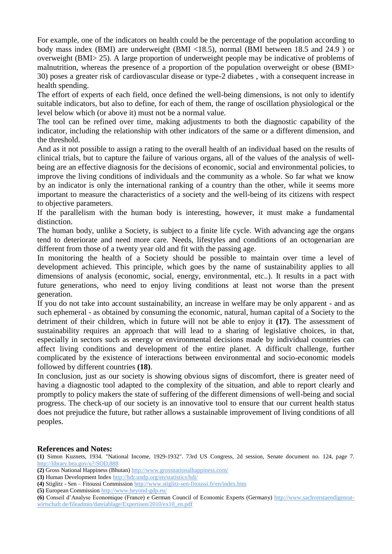For example, one of the indicators on health could be the percentage of the population according to body mass index (BMI) are underweight (BMI <18.5), normal (BMI between 18.5 and 24.9 ) or overweight (BMI> 25). A large proportion of underweight people may be indicative of problems of malnutrition, whereas the presence of a proportion of the population overweight or obese (BMI> 30) poses a greater risk of cardiovascular disease or type-2 diabetes , with a consequent increase in health spending.

The effort of experts of each field, once defined the well-being dimensions, is not only to identify suitable indicators, but also to define, for each of them, the range of oscillation physiological or the level below which (or above it) must not be a normal value.

The tool can be refined over time, making adjustments to both the diagnostic capability of the indicator, including the relationship with other indicators of the same or a different dimension, and the threshold.

And as it not possible to assign a rating to the overall health of an individual based on the results of clinical trials, but to capture the failure of various organs, all of the values of the analysis of wellbeing are an effective diagnosis for the decisions of economic, social and environmental policies, to improve the living conditions of individuals and the community as a whole. So far what we know by an indicator is only the international ranking of a country than the other, while it seems more important to measure the characteristics of a society and the well-being of its citizens with respect to objective parameters.

If the parallelism with the human body is interesting, however, it must make a fundamental distinction.

The human body, unlike a Society, is subject to a finite life cycle. With advancing age the organs tend to deteriorate and need more care. Needs, lifestyles and conditions of an octogenarian are different from those of a twenty year old and fit with the passing age.

In monitoring the health of a Society should be possible to maintain over time a level of development achieved. This principle, which goes by the name of sustainability applies to all dimensions of analysis (economic, social, energy, environmental, etc..). It results in a pact with future generations, who need to enjoy living conditions at least not worse than the present generation.

If you do not take into account sustainability, an increase in welfare may be only apparent - and as such ephemeral - as obtained by consuming the economic, natural, human capital of a Society to the detriment of their children, which in future will not be able to enjoy it **(17)**. The assessment of sustainability requires an approach that will lead to a sharing of legislative choices, in that, especially in sectors such as energy or environmental decisions made by individual countries can affect living conditions and development of the entire planet. A difficult challenge, further complicated by the existence of interactions between environmental and socio-economic models followed by different countries **(18)**.

In conclusion, just as our society is showing obvious signs of discomfort, there is greater need of having a diagnostic tool adapted to the complexity of the situation, and able to report clearly and promptly to policy makers the state of suffering of the different dimensions of well-being and social progress. The check-up of our society is an innovative tool to ensure that our current health status does not prejudice the future, but rather allows a sustainable improvement of living conditions of all peoples.

## **References and Notes:**

**(1)** Simon Kuznets, 1934. "National Income, 1929-1932". 73rd US Congress, 2d session, Senate document no. 124, page 7. <http://library.bea.gov/u?/SOD,888>

- **(2)** Gross National Happiness (Bhutan)<http://www.grossnationalhappiness.com/>
- **(3)** Human Development Inde[x http://hdr.undp.org/en/statistics/hdi/](http://hdr.undp.org/en/statistics/hdi/)
- **(4)** Stiglitz Sen Fitoussi Commission <http://www.stiglitz-sen-fitoussi.fr/en/index.htm>
- **(5)** European Commission <http://www.beyond-gdp.eu/>

**(6)** Conseil d'Analyse Economique (France) e German Council of Economic Experts (Germany) [http://www.sachverstaendigenrat](http://www.sachverstaendigenrat-wirtschaft.de/fileadmin/dateiablage/Expertisen/2010/ex10_en.pdf)[wirtschaft.de/fileadmin/dateiablage/Expertisen/2010/ex10\\_en.pdf](http://www.sachverstaendigenrat-wirtschaft.de/fileadmin/dateiablage/Expertisen/2010/ex10_en.pdf)